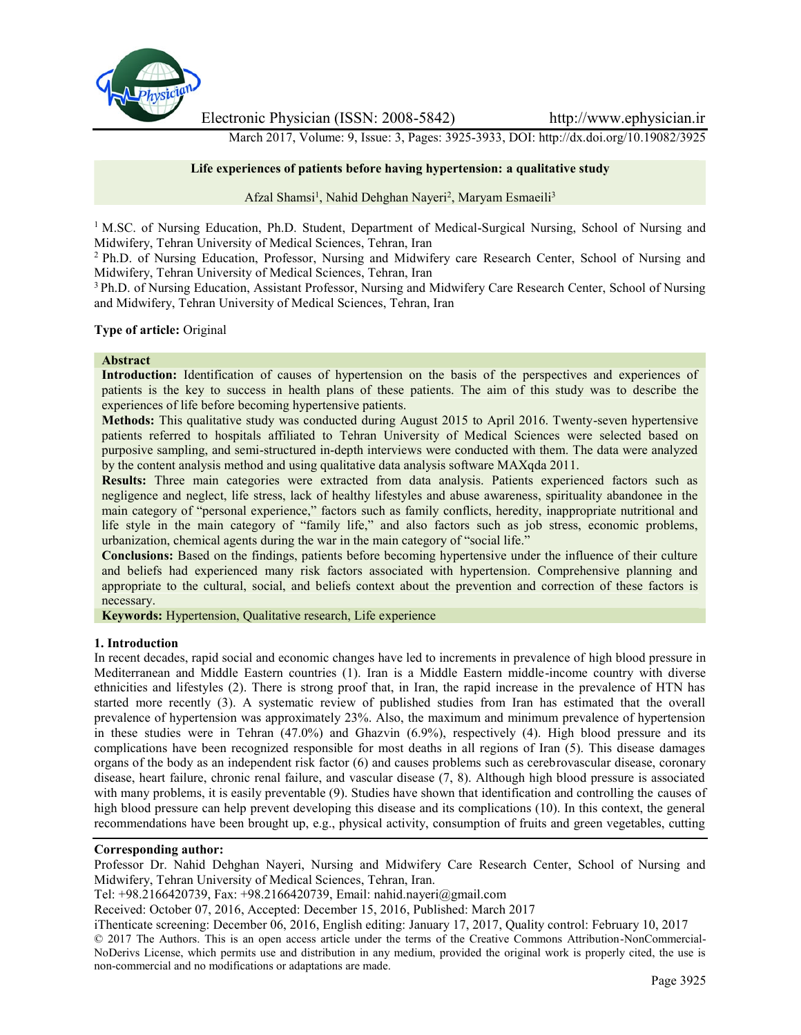

Electronic Physician (ISSN: 2008-5842) http://www.ephysician.ir

March 2017, Volume: 9, Issue: 3, Pages: 3925-3933, DOI: http://dx.doi.org/10.19082/3925

## **Life experiences of patients before having hypertension: a qualitative study**

Afzal Shamsi<sup>1</sup>, Nahid Dehghan Nayeri<sup>2</sup>, Maryam Esmaeili<sup>3</sup>

<sup>1</sup> M.SC. of Nursing Education, Ph.D. Student, Department of Medical-Surgical Nursing, School of Nursing and Midwifery, Tehran University of Medical Sciences, Tehran, Iran

<sup>2</sup> Ph.D. of Nursing Education, Professor, Nursing and Midwifery care Research Center, School of Nursing and Midwifery, Tehran University of Medical Sciences, Tehran, Iran

<sup>3</sup> Ph.D. of Nursing Education, Assistant Professor, Nursing and Midwifery Care Research Center, School of Nursing and Midwifery, Tehran University of Medical Sciences, Tehran, Iran

#### **Type of article:** Original

#### **Abstract**

**Introduction:** Identification of causes of hypertension on the basis of the perspectives and experiences of patients is the key to success in health plans of these patients. The aim of this study was to describe the experiences of life before becoming hypertensive patients.

**Methods:** This qualitative study was conducted during August 2015 to April 2016. Twenty-seven hypertensive patients referred to hospitals affiliated to Tehran University of Medical Sciences were selected based on purposive sampling, and semi-structured in-depth interviews were conducted with them. The data were analyzed by the content analysis method and using qualitative data analysis software MAXqda 2011.

**Results:** Three main categories were extracted from data analysis. Patients experienced factors such as negligence and neglect, life stress, lack of healthy lifestyles and abuse awareness, spirituality abandonee in the main category of "personal experience," factors such as family conflicts, heredity, inappropriate nutritional and life style in the main category of "family life," and also factors such as job stress, economic problems, urbanization, chemical agents during the war in the main category of "social life."

**Conclusions:** Based on the findings, patients before becoming hypertensive under the influence of their culture and beliefs had experienced many risk factors associated with hypertension. Comprehensive planning and appropriate to the cultural, social, and beliefs context about the prevention and correction of these factors is necessary.

**Keywords:** Hypertension, Qualitative research, Life experience

#### **1. Introduction**

In recent decades, rapid social and economic changes have led to increments in prevalence of high blood pressure in Mediterranean and Middle Eastern countries (1). Iran is a Middle Eastern middle-income country with diverse ethnicities and lifestyles (2). There is strong proof that, in Iran, the rapid increase in the prevalence of HTN has started more recently (3). A systematic review of published studies from Iran has estimated that the overall prevalence of hypertension was approximately 23%. Also, the maximum and minimum prevalence of hypertension in these studies were in Tehran (47.0%) and Ghazvin (6.9%), respectively (4). High blood pressure and its complications have been recognized responsible for most deaths in all regions of Iran (5). This disease damages organs of the body as an independent risk factor (6) and causes problems such as cerebrovascular disease, coronary disease, heart failure, chronic renal failure, and vascular disease (7, 8). Although high blood pressure is associated with many problems, it is easily preventable (9). Studies have shown that identification and controlling the causes of high blood pressure can help prevent developing this disease and its complications (10). In this context, the general recommendations have been brought up, e.g., physical activity, consumption of fruits and green vegetables, cutting

#### **Corresponding author:**

Professor Dr. Nahid Dehghan Nayeri, Nursing and Midwifery Care Research Center, School of Nursing and Midwifery, Tehran University of Medical Sciences, Tehran, Iran.

Tel: +98.2166420739, Fax: +98.2166420739, Email: nahid.nayeri@gmail.com

Received: October 07, 2016, Accepted: December 15, 2016, Published: March 2017

iThenticate screening: December 06, 2016, English editing: January 17, 2017, Quality control: February 10, 2017 © 2017 The Authors. This is an open access article under the terms of the Creative Commons Attribution-NonCommercial- NoDerivs License, which permits use and distribution in any medium, provided the original work is properly cited, the use is non-commercial and no modifications or adaptations are made.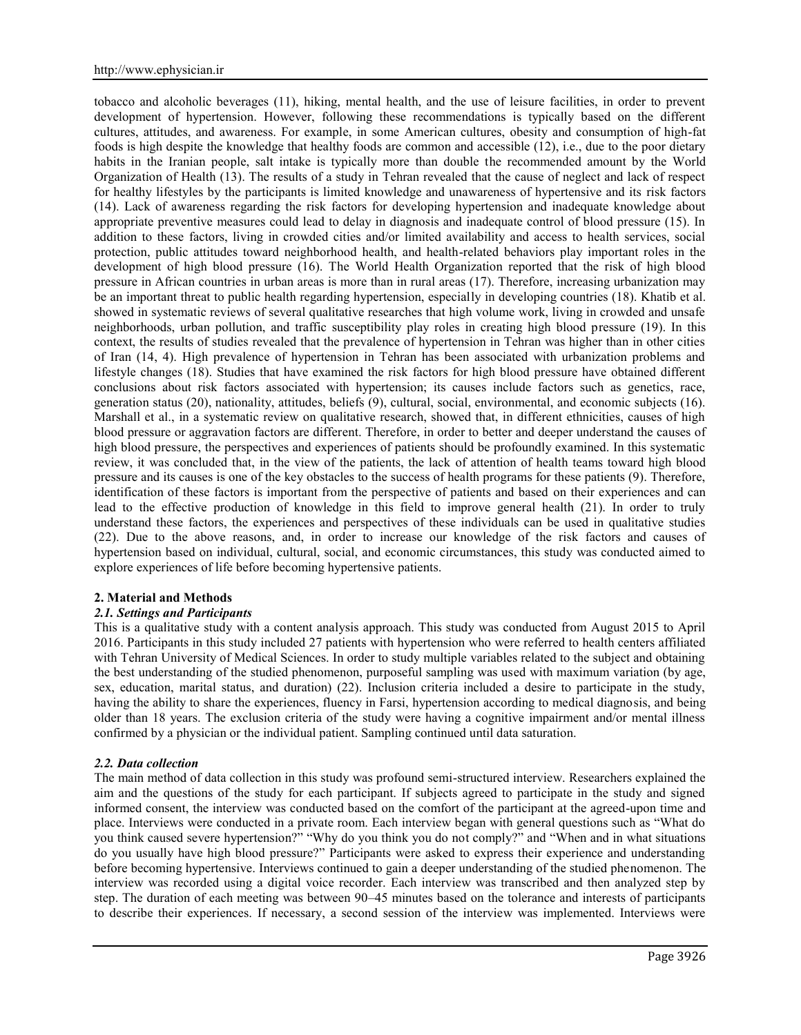tobacco and alcoholic beverages (11), hiking, mental health, and the use of leisure facilities, in order to prevent development of hypertension. However, following these recommendations is typically based on the different cultures, attitudes, and awareness. For example, in some American cultures, obesity and consumption of high-fat foods is high despite the knowledge that healthy foods are common and accessible (12), i.e., due to the poor dietary habits in the Iranian people, salt intake is typically more than double the recommended amount by the World Organization of Health (13). The results of a study in Tehran revealed that the cause of neglect and lack of respect for healthy lifestyles by the participants is limited knowledge and unawareness of hypertensive and its risk factors (14). Lack of awareness regarding the risk factors for developing hypertension and inadequate knowledge about appropriate preventive measures could lead to delay in diagnosis and inadequate control of blood pressure (15). In addition to these factors, living in crowded cities and/or limited availability and access to health services, social protection, public attitudes toward neighborhood health, and health-related behaviors play important roles in the development of high blood pressure (16). The World Health Organization reported that the risk of high blood pressure in African countries in urban areas is more than in rural areas (17). Therefore, increasing urbanization may be an important threat to public health regarding hypertension, especially in developing countries (18). Khatib et al. showed in systematic reviews of several qualitative researches that high volume work, living in crowded and unsafe neighborhoods, urban pollution, and traffic susceptibility play roles in creating high blood pressure (19). In this context, the results of studies revealed that the prevalence of hypertension in Tehran was higher than in other cities of Iran (14, 4). High prevalence of hypertension in Tehran has been associated with urbanization problems and lifestyle changes (18). Studies that have examined the risk factors for high blood pressure have obtained different conclusions about risk factors associated with hypertension; its causes include factors such as genetics, race, generation status (20), nationality, attitudes, beliefs (9), cultural, social, environmental, and economic subjects (16). Marshall et al., in a systematic review on qualitative research, showed that, in different ethnicities, causes of high blood pressure or aggravation factors are different. Therefore, in order to better and deeper understand the causes of high blood pressure, the perspectives and experiences of patients should be profoundly examined. In this systematic review, it was concluded that, in the view of the patients, the lack of attention of health teams toward high blood pressure and its causes is one of the key obstacles to the success of health programs for these patients (9). Therefore, identification of these factors is important from the perspective of patients and based on their experiences and can lead to the effective production of knowledge in this field to improve general health (21). In order to truly understand these factors, the experiences and perspectives of these individuals can be used in qualitative studies (22). Due to the above reasons, and, in order to increase our knowledge of the risk factors and causes of hypertension based on individual, cultural, social, and economic circumstances, this study was conducted aimed to explore experiences of life before becoming hypertensive patients.

#### **2. Material and Methods**

## *2.1. Settings and Participants*

This is a qualitative study with a content analysis approach. This study was conducted from August 2015 to April 2016. Participants in this study included 27 patients with hypertension who were referred to health centers affiliated with Tehran University of Medical Sciences. In order to study multiple variables related to the subject and obtaining the best understanding of the studied phenomenon, purposeful sampling was used with maximum variation (by age, sex, education, marital status, and duration) (22). Inclusion criteria included a desire to participate in the study, having the ability to share the experiences, fluency in Farsi, hypertension according to medical diagnosis, and being older than 18 years. The exclusion criteria of the study were having a cognitive impairment and/or mental illness confirmed by a physician or the individual patient. Sampling continued until data saturation.

## *2.2. Data collection*

The main method of data collection in this study was profound semi-structured interview. Researchers explained the aim and the questions of the study for each participant. If subjects agreed to participate in the study and signed informed consent, the interview was conducted based on the comfort of the participant at the agreed-upon time and place. Interviews were conducted in a private room. Each interview began with general questions such as "What do you think caused severe hypertension?" "Why do you think you do not comply?" and "When and in what situations do you usually have high blood pressure?" Participants were asked to express their experience and understanding before becoming hypertensive. Interviews continued to gain a deeper understanding of the studied phenomenon. The interview was recorded using a digital voice recorder. Each interview was transcribed and then analyzed step by step. The duration of each meeting was between 90–45 minutes based on the tolerance and interests of participants to describe their experiences. If necessary, a second session of the interview was implemented. Interviews were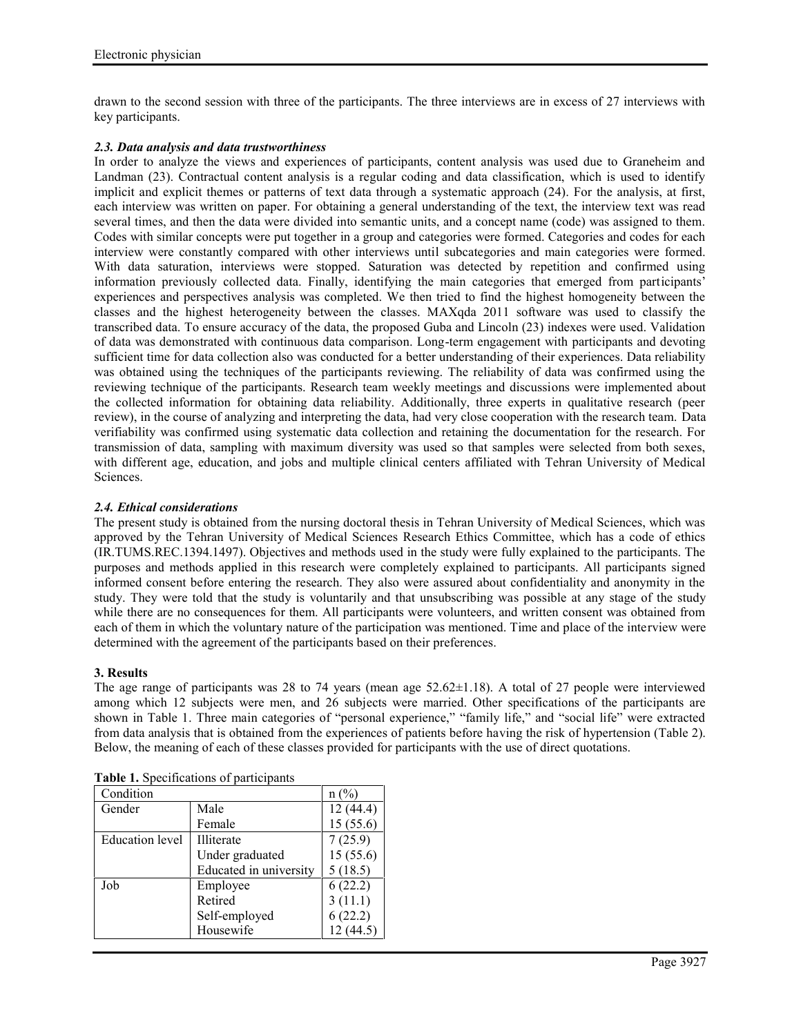drawn to the second session with three of the participants. The three interviews are in excess of 27 interviews with key participants.

## *2.3. Data analysis and data trustworthiness*

In order to analyze the views and experiences of participants, content analysis was used due to Graneheim and Landman (23). Contractual content analysis is a regular coding and data classification, which is used to identify implicit and explicit themes or patterns of text data through a systematic approach (24). For the analysis, at first, each interview was written on paper. For obtaining a general understanding of the text, the interview text was read several times, and then the data were divided into semantic units, and a concept name (code) was assigned to them. Codes with similar concepts were put together in a group and categories were formed. Categories and codes for each interview were constantly compared with other interviews until subcategories and main categories were formed. With data saturation, interviews were stopped. Saturation was detected by repetition and confirmed using information previously collected data. Finally, identifying the main categories that emerged from participants' experiences and perspectives analysis was completed. We then tried to find the highest homogeneity between the classes and the highest heterogeneity between the classes. MAXqda 2011 software was used to classify the transcribed data. To ensure accuracy of the data, the proposed Guba and Lincoln (23) indexes were used. Validation of data was demonstrated with continuous data comparison. Long-term engagement with participants and devoting sufficient time for data collection also was conducted for a better understanding of their experiences. Data reliability was obtained using the techniques of the participants reviewing. The reliability of data was confirmed using the reviewing technique of the participants. Research team weekly meetings and discussions were implemented about the collected information for obtaining data reliability. Additionally, three experts in qualitative research (peer review), in the course of analyzing and interpreting the data, had very close cooperation with the research team. Data verifiability was confirmed using systematic data collection and retaining the documentation for the research. For transmission of data, sampling with maximum diversity was used so that samples were selected from both sexes, with different age, education, and jobs and multiple clinical centers affiliated with Tehran University of Medical Sciences.

## *2.4. Ethical considerations*

The present study is obtained from the nursing doctoral thesis in Tehran University of Medical Sciences, which was approved by the Tehran University of Medical Sciences Research Ethics Committee, which has a code of ethics (IR.TUMS.REC.1394.1497). Objectives and methods used in the study were fully explained to the participants. The purposes and methods applied in this research were completely explained to participants. All participants signed informed consent before entering the research. They also were assured about confidentiality and anonymity in the study. They were told that the study is voluntarily and that unsubscribing was possible at any stage of the study while there are no consequences for them. All participants were volunteers, and written consent was obtained from each of them in which the voluntary nature of the participation was mentioned. Time and place of the interview were determined with the agreement of the participants based on their preferences.

#### **3. Results**

The age range of participants was 28 to 74 years (mean age 52.62±1.18). A total of 27 people were interviewed among which 12 subjects were men, and 26 subjects were married. Other specifications of the participants are shown in Table 1. Three main categories of "personal experience," "family life," and "social life" were extracted from data analysis that is obtained from the experiences of patients before having the risk of hypertension (Table 2). Below, the meaning of each of these classes provided for participants with the use of direct quotations.

| Condition              |                        | $n$ (%)  |
|------------------------|------------------------|----------|
| Gender                 | Male                   | 12(44.4) |
|                        | Female                 | 15(55.6) |
| <b>Education</b> level | Illiterate             | 7(25.9)  |
|                        | Under graduated        | 15(55.6) |
|                        | Educated in university | 5(18.5)  |
| Job                    | Employee               | 6(22.2)  |
|                        | Retired                | 3(11.1)  |
|                        | Self-employed          | 6(22.2)  |
|                        | Housewife              |          |

**Table 1.** Specifications of participants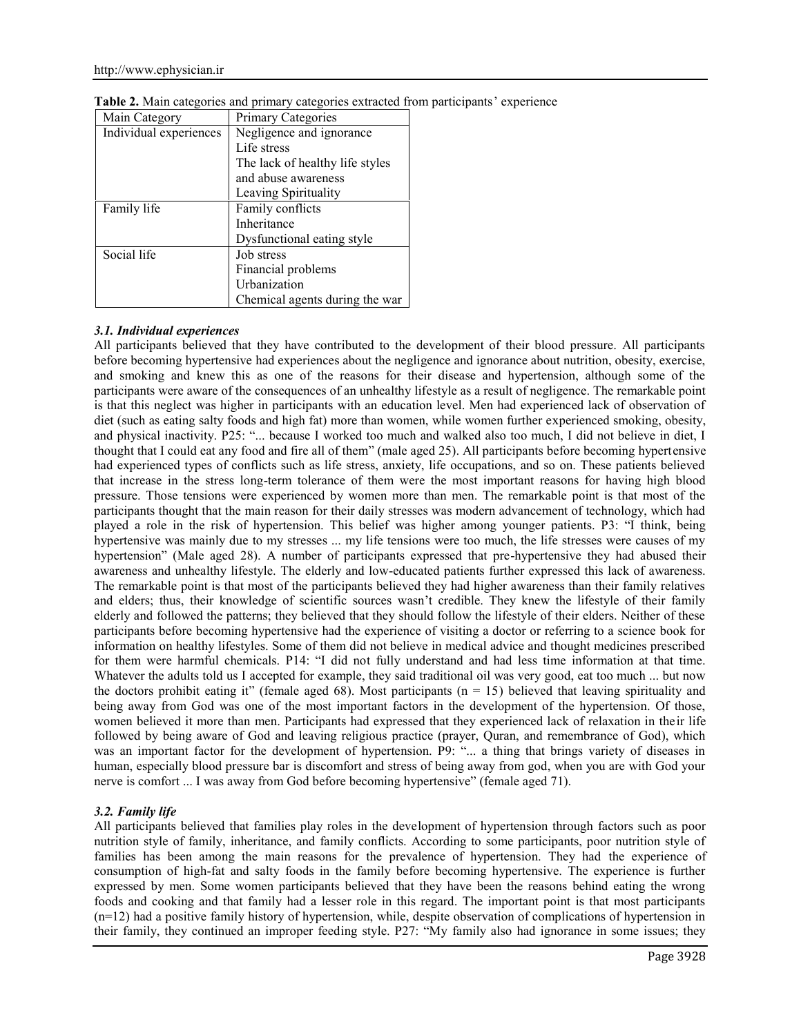| Main Category          | <b>Primary Categories</b>       |  |
|------------------------|---------------------------------|--|
| Individual experiences | Negligence and ignorance        |  |
|                        | Life stress                     |  |
|                        | The lack of healthy life styles |  |
|                        | and abuse awareness             |  |
|                        | Leaving Spirituality            |  |
| Family life            | Family conflicts                |  |
|                        | Inheritance                     |  |
|                        | Dysfunctional eating style      |  |
| Social life            | Job stress                      |  |
|                        | Financial problems              |  |
|                        | Urbanization                    |  |
|                        | Chemical agents during the war  |  |

**Table 2.** Main categories and primary categories extracted from participants' experience

# *3.1. Individual experiences*

All participants believed that they have contributed to the development of their blood pressure. All participants before becoming hypertensive had experiences about the negligence and ignorance about nutrition, obesity, exercise, and smoking and knew this as one of the reasons for their disease and hypertension, although some of the participants were aware of the consequences of an unhealthy lifestyle as a result of negligence. The remarkable point is that this neglect was higher in participants with an education level. Men had experienced lack of observation of diet (such as eating salty foods and high fat) more than women, while women further experienced smoking, obesity, and physical inactivity. P25: "... because I worked too much and walked also too much, I did not believe in diet, I thought that I could eat any food and fire all of them" (male aged 25). All participants before becoming hypertensive had experienced types of conflicts such as life stress, anxiety, life occupations, and so on. These patients believed that increase in the stress long-term tolerance of them were the most important reasons for having high blood pressure. Those tensions were experienced by women more than men. The remarkable point is that most of the participants thought that the main reason for their daily stresses was modern advancement of technology, which had played a role in the risk of hypertension. This belief was higher among younger patients. P3: "I think, being hypertensive was mainly due to my stresses ... my life tensions were too much, the life stresses were causes of my hypertension" (Male aged 28). A number of participants expressed that pre-hypertensive they had abused their awareness and unhealthy lifestyle. The elderly and low-educated patients further expressed this lack of awareness. The remarkable point is that most of the participants believed they had higher awareness than their family relatives and elders; thus, their knowledge of scientific sources wasn't credible. They knew the lifestyle of their family elderly and followed the patterns; they believed that they should follow the lifestyle of their elders. Neither of these participants before becoming hypertensive had the experience of visiting a doctor or referring to a science book for information on healthy lifestyles. Some of them did not believe in medical advice and thought medicines prescribed for them were harmful chemicals. P14: "I did not fully understand and had less time information at that time. Whatever the adults told us I accepted for example, they said traditional oil was very good, eat too much ... but now the doctors prohibit eating it" (female aged 68). Most participants ( $n = 15$ ) believed that leaving spirituality and being away from God was one of the most important factors in the development of the hypertension. Of those, women believed it more than men. Participants had expressed that they experienced lack of relaxation in their life followed by being aware of God and leaving religious practice (prayer, Quran, and remembrance of God), which was an important factor for the development of hypertension. P9: "... a thing that brings variety of diseases in human, especially blood pressure bar is discomfort and stress of being away from god, when you are with God your nerve is comfort ... I was away from God before becoming hypertensive" (female aged 71).

# *3.2. Family life*

All participants believed that families play roles in the development of hypertension through factors such as poor nutrition style of family, inheritance, and family conflicts. According to some participants, poor nutrition style of families has been among the main reasons for the prevalence of hypertension. They had the experience of consumption of high-fat and salty foods in the family before becoming hypertensive. The experience is further expressed by men. Some women participants believed that they have been the reasons behind eating the wrong foods and cooking and that family had a lesser role in this regard. The important point is that most participants (n=12) had a positive family history of hypertension, while, despite observation of complications of hypertension in their family, they continued an improper feeding style. P27: "My family also had ignorance in some issues; they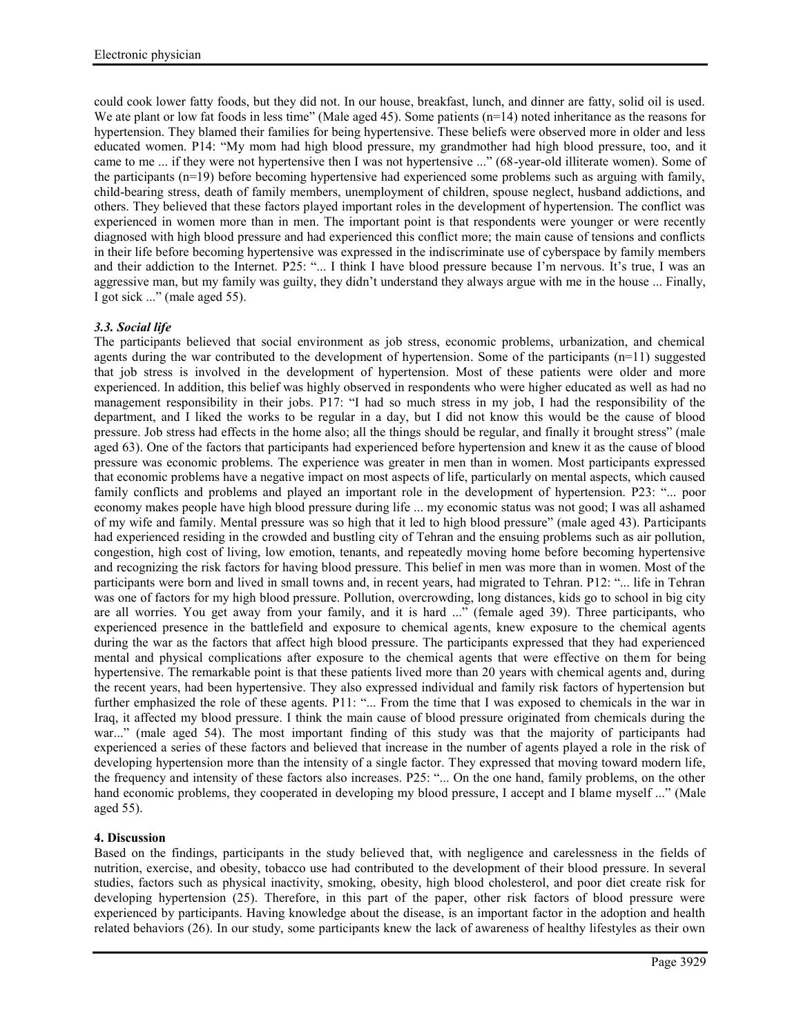could cook lower fatty foods, but they did not. In our house, breakfast, lunch, and dinner are fatty, solid oil is used. We ate plant or low fat foods in less time" (Male aged 45). Some patients (n=14) noted inheritance as the reasons for hypertension. They blamed their families for being hypertensive. These beliefs were observed more in older and less educated women. P14: "My mom had high blood pressure, my grandmother had high blood pressure, too, and it came to me ... if they were not hypertensive then I was not hypertensive ..." (68-year-old illiterate women). Some of the participants (n=19) before becoming hypertensive had experienced some problems such as arguing with family, child-bearing stress, death of family members, unemployment of children, spouse neglect, husband addictions, and others. They believed that these factors played important roles in the development of hypertension. The conflict was experienced in women more than in men. The important point is that respondents were younger or were recently diagnosed with high blood pressure and had experienced this conflict more; the main cause of tensions and conflicts in their life before becoming hypertensive was expressed in the indiscriminate use of cyberspace by family members and their addiction to the Internet. P25: "... I think I have blood pressure because I'm nervous. It's true, I was an aggressive man, but my family was guilty, they didn't understand they always argue with me in the house ... Finally, I got sick ..." (male aged 55).

## *3.3. Social life*

The participants believed that social environment as job stress, economic problems, urbanization, and chemical agents during the war contributed to the development of hypertension. Some of the participants  $(n=11)$  suggested that job stress is involved in the development of hypertension. Most of these patients were older and more experienced. In addition, this belief was highly observed in respondents who were higher educated as well as had no management responsibility in their jobs. P17: "I had so much stress in my job, I had the responsibility of the department, and I liked the works to be regular in a day, but I did not know this would be the cause of blood pressure. Job stress had effects in the home also; all the things should be regular, and finally it brought stress" (male aged 63). One of the factors that participants had experienced before hypertension and knew it as the cause of blood pressure was economic problems. The experience was greater in men than in women. Most participants expressed that economic problems have a negative impact on most aspects of life, particularly on mental aspects, which caused family conflicts and problems and played an important role in the development of hypertension. P23: "... poor economy makes people have high blood pressure during life ... my economic status was not good; I was all ashamed of my wife and family. Mental pressure was so high that it led to high blood pressure" (male aged 43). Participants had experienced residing in the crowded and bustling city of Tehran and the ensuing problems such as air pollution, congestion, high cost of living, low emotion, tenants, and repeatedly moving home before becoming hypertensive and recognizing the risk factors for having blood pressure. This belief in men was more than in women. Most of the participants were born and lived in small towns and, in recent years, had migrated to Tehran. P12: "... life in Tehran was one of factors for my high blood pressure. Pollution, overcrowding, long distances, kids go to school in big city are all worries. You get away from your family, and it is hard ..." (female aged 39). Three participants, who experienced presence in the battlefield and exposure to chemical agents, knew exposure to the chemical agents during the war as the factors that affect high blood pressure. The participants expressed that they had experienced mental and physical complications after exposure to the chemical agents that were effective on them for being hypertensive. The remarkable point is that these patients lived more than 20 years with chemical agents and, during the recent years, had been hypertensive. They also expressed individual and family risk factors of hypertension but further emphasized the role of these agents. P11: "... From the time that I was exposed to chemicals in the war in Iraq, it affected my blood pressure. I think the main cause of blood pressure originated from chemicals during the war..." (male aged 54). The most important finding of this study was that the majority of participants had experienced a series of these factors and believed that increase in the number of agents played a role in the risk of developing hypertension more than the intensity of a single factor. They expressed that moving toward modern life, the frequency and intensity of these factors also increases. P25: "... On the one hand, family problems, on the other hand economic problems, they cooperated in developing my blood pressure, I accept and I blame myself ..." (Male aged 55).

## **4. Discussion**

Based on the findings, participants in the study believed that, with negligence and carelessness in the fields of nutrition, exercise, and obesity, tobacco use had contributed to the development of their blood pressure. In several studies, factors such as physical inactivity, smoking, obesity, high blood cholesterol, and poor diet create risk for developing hypertension (25). Therefore, in this part of the paper, other risk factors of blood pressure were experienced by participants. Having knowledge about the disease, is an important factor in the adoption and health related behaviors (26). In our study, some participants knew the lack of awareness of healthy lifestyles as their own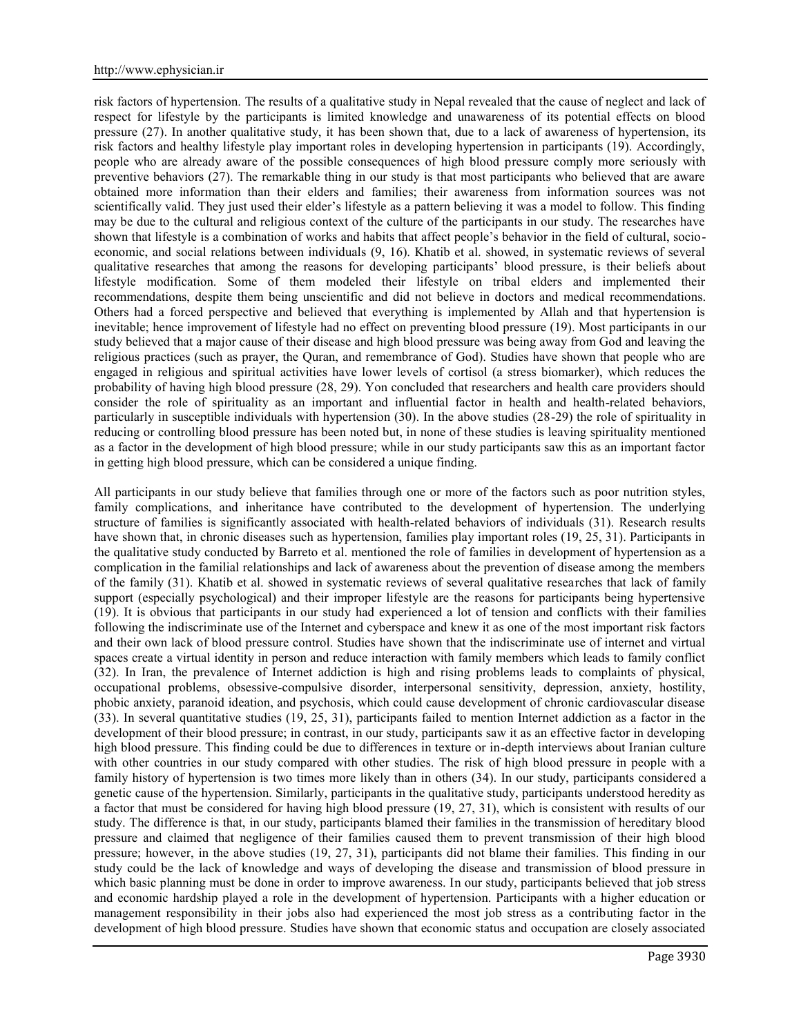risk factors of hypertension. The results of a qualitative study in Nepal revealed that the cause of neglect and lack of respect for lifestyle by the participants is limited knowledge and unawareness of its potential effects on blood pressure (27). In another qualitative study, it has been shown that, due to a lack of awareness of hypertension, its risk factors and healthy lifestyle play important roles in developing hypertension in participants (19). Accordingly, people who are already aware of the possible consequences of high blood pressure comply more seriously with preventive behaviors (27). The remarkable thing in our study is that most participants who believed that are aware obtained more information than their elders and families; their awareness from information sources was not scientifically valid. They just used their elder's lifestyle as a pattern believing it was a model to follow. This finding may be due to the cultural and religious context of the culture of the participants in our study. The researches have shown that lifestyle is a combination of works and habits that affect people's behavior in the field of cultural, socio economic, and social relations between individuals (9, 16). Khatib et al. showed, in systematic reviews of several qualitative researches that among the reasons for developing participants' blood pressure, is their beliefs about lifestyle modification. Some of them modeled their lifestyle on tribal elders and implemented their recommendations, despite them being unscientific and did not believe in doctors and medical recommendations. Others had a forced perspective and believed that everything is implemented by Allah and that hypertension is inevitable; hence improvement of lifestyle had no effect on preventing blood pressure (19). Most participants in our study believed that a major cause of their disease and high blood pressure was being away from God and leaving the religious practices (such as prayer, the Quran, and remembrance of God). Studies have shown that people who are engaged in religious and spiritual activities have lower levels of cortisol (a stress biomarker), which reduces the probability of having high blood pressure (28, 29). Yon concluded that researchers and health care providers should consider the role of spirituality as an important and influential factor in health and health-related behaviors, particularly in susceptible individuals with hypertension (30). In the above studies (28-29) the role of spirituality in reducing or controlling blood pressure has been noted but, in none of these studies is leaving spirituality mentioned as a factor in the development of high blood pressure; while in our study participants saw this as an important factor in getting high blood pressure, which can be considered a unique finding.

All participants in our study believe that families through one or more of the factors such as poor nutrition styles, family complications, and inheritance have contributed to the development of hypertension. The underlying structure of families is significantly associated with health-related behaviors of individuals (31). Research results have shown that, in chronic diseases such as hypertension, families play important roles (19, 25, 31). Participants in the qualitative study conducted by Barreto et al. mentioned the role of families in development of hypertension as a complication in the familial relationships and lack of awareness about the prevention of disease among the members of the family (31). Khatib et al. showed in systematic reviews of several qualitative researches that lack of family support (especially psychological) and their improper lifestyle are the reasons for participants being hypertensive (19). It is obvious that participants in our study had experienced a lot of tension and conflicts with their families following the indiscriminate use of the Internet and cyberspace and knew it as one of the most important risk factors and their own lack of blood pressure control. Studies have shown that the indiscriminate use of internet and virtual spaces create a virtual identity in person and reduce interaction with family members which leads to family conflict (32). In Iran, the prevalence of Internet addiction is high and rising problems leads to complaints of physical, occupational problems, obsessive-compulsive disorder, interpersonal sensitivity, depression, anxiety, hostility, phobic anxiety, paranoid ideation, and psychosis, which could cause development of chronic cardiovascular disease (33). In several quantitative studies (19, 25, 31), participants failed to mention Internet addiction as a factor in the development of their blood pressure; in contrast, in our study, participants saw it as an effective factor in developing high blood pressure. This finding could be due to differences in texture or in-depth interviews about Iranian culture with other countries in our study compared with other studies. The risk of high blood pressure in people with a family history of hypertension is two times more likely than in others (34). In our study, participants considered a genetic cause of the hypertension. Similarly, participants in the qualitative study, participants understood heredity as a factor that must be considered for having high blood pressure (19, 27, 31), which is consistent with results of our study. The difference is that, in our study, participants blamed their families in the transmission of hereditary blood pressure and claimed that negligence of their families caused them to prevent transmission of their high blood pressure; however, in the above studies (19, 27, 31), participants did not blame their families. This finding in our study could be the lack of knowledge and ways of developing the disease and transmission of blood pressure in which basic planning must be done in order to improve awareness. In our study, participants believed that job stress and economic hardship played a role in the development of hypertension. Participants with a higher education or management responsibility in their jobs also had experienced the most job stress as a contributing factor in the development of high blood pressure. Studies have shown that economic status and occupation are closely associated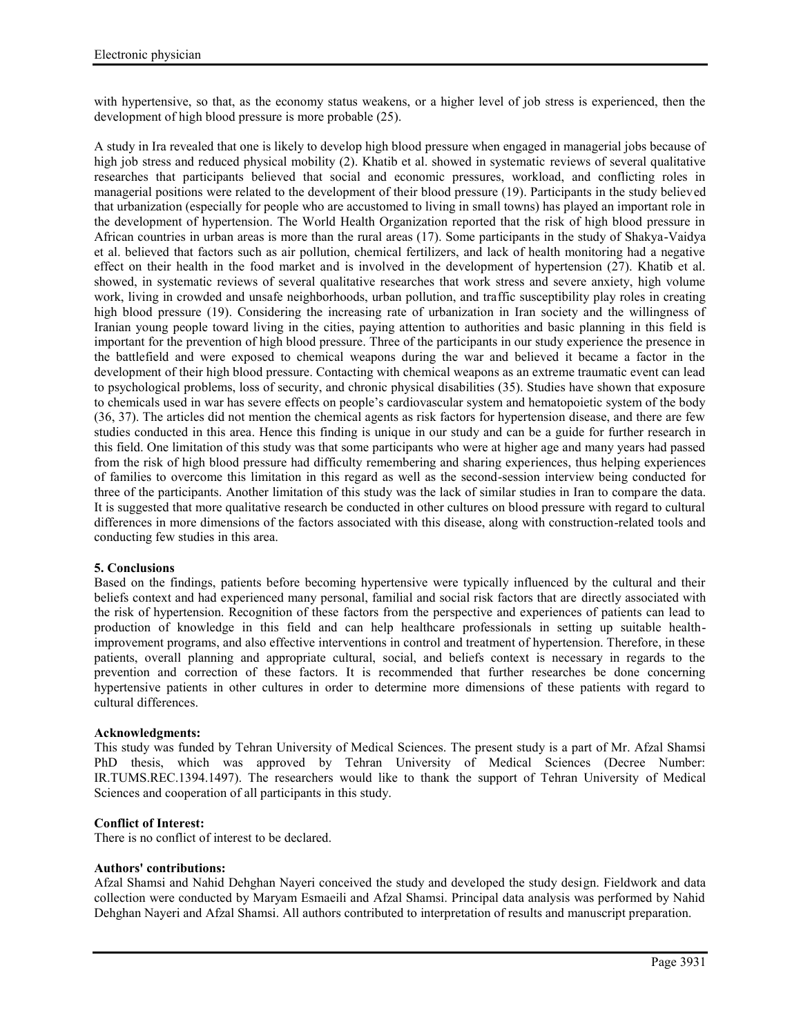with hypertensive, so that, as the economy status weakens, or a higher level of job stress is experienced, then the development of high blood pressure is more probable (25).

A study in Ira revealed that one is likely to develop high blood pressure when engaged in managerial jobs because of high job stress and reduced physical mobility (2). Khatib et al. showed in systematic reviews of several qualitative researches that participants believed that social and economic pressures, workload, and conflicting roles in managerial positions were related to the development of their blood pressure (19). Participants in the study believed that urbanization (especially for people who are accustomed to living in small towns) has played an important role in the development of hypertension. The World Health Organization reported that the risk of high blood pressure in African countries in urban areas is more than the rural areas (17). Some participants in the study of Shakya-Vaidya et al. believed that factors such as air pollution, chemical fertilizers, and lack of health monitoring had a negative effect on their health in the food market and is involved in the development of hypertension (27). Khatib et al. showed, in systematic reviews of several qualitative researches that work stress and severe anxiety, high volume work, living in crowded and unsafe neighborhoods, urban pollution, and traffic susceptibility play roles in creating high blood pressure (19). Considering the increasing rate of urbanization in Iran society and the willingness of Iranian young people toward living in the cities, paying attention to authorities and basic planning in this field is important for the prevention of high blood pressure. Three of the participants in our study experience the presence in the battlefield and were exposed to chemical weapons during the war and believed it became a factor in the development of their high blood pressure. Contacting with chemical weapons as an extreme traumatic event can lead to psychological problems, loss of security, and chronic physical disabilities (35). Studies have shown that exposure to chemicals used in war has severe effects on people's cardiovascular system and hematopoietic system of the body (36, 37). The articles did not mention the chemical agents as risk factors for hypertension disease, and there are few studies conducted in this area. Hence this finding is unique in our study and can be a guide for further research in this field. One limitation of this study was that some participants who were at higher age and many years had passed from the risk of high blood pressure had difficulty remembering and sharing experiences, thus helping experiences of families to overcome this limitation in this regard as well as the second-session interview being conducted for three of the participants. Another limitation of this study was the lack of similar studies in Iran to compare the data. It is suggested that more qualitative research be conducted in other cultures on blood pressure with regard to cultural differences in more dimensions of the factors associated with this disease, along with construction-related tools and conducting few studies in this area.

## **5. Conclusions**

Based on the findings, patients before becoming hypertensive were typically influenced by the cultural and their beliefs context and had experienced many personal, familial and social risk factors that are directly associated with the risk of hypertension. Recognition of these factors from the perspective and experiences of patients can lead to production of knowledge in this field and can help healthcare professionals in setting up suitable healthimprovement programs, and also effective interventions in control and treatment of hypertension. Therefore, in these patients, overall planning and appropriate cultural, social, and beliefs context is necessary in regards to the prevention and correction of these factors. It is recommended that further researches be done concerning hypertensive patients in other cultures in order to determine more dimensions of these patients with regard to cultural differences.

## **Acknowledgments:**

This study was funded by Tehran University of Medical Sciences. The present study is a part of Mr. Afzal Shamsi PhD thesis, which was approved by Tehran University of Medical Sciences (Decree Number: IR.TUMS.REC.1394.1497). The researchers would like to thank the support of Tehran University of Medical Sciences and cooperation of all participants in this study.

## **Conflict of Interest:**

There is no conflict of interest to be declared.

#### **Authors' contributions:**

Afzal Shamsi and Nahid Dehghan Nayeri conceived the study and developed the study design. Fieldwork and data collection were conducted by Maryam Esmaeili and Afzal Shamsi. Principal data analysis was performed by Nahid Dehghan Nayeri and Afzal Shamsi. All authors contributed to interpretation of results and manuscript preparation.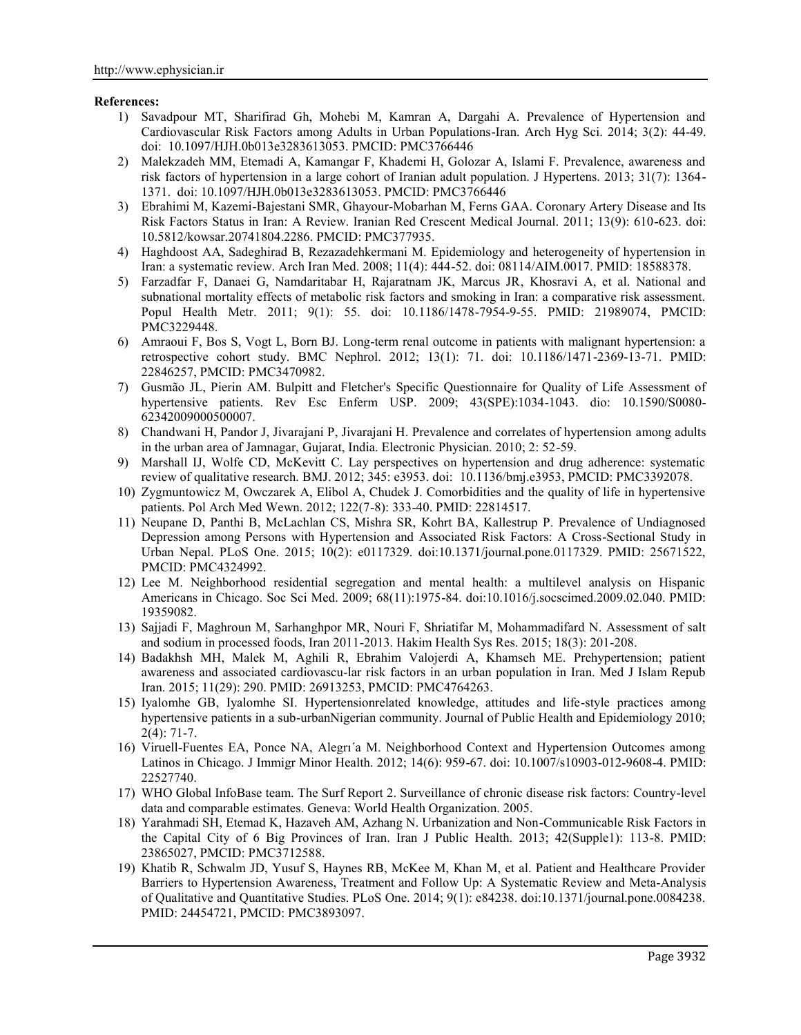## **References:**

- 1) Savadpour MT, Sharifirad Gh, Mohebi M, Kamran A, Dargahi A. Prevalence of Hypertension and Cardiovascular Risk Factors among Adults in Urban Populations-Iran. Arch Hyg Sci. 2014; 3(2): 44-49. doi: 10.1097/HJH.0b013e3283613053. PMCID: PMC3766446
- 2) Malekzadeh MM, Etemadi A, Kamangar F, Khademi H, Golozar A, Islami F. Prevalence, awareness and risk factors of hypertension in a large cohort of Iranian adult population. J Hypertens. 2013; 31(7): 1364- 1371. doi: 10.1097/HJH.0b013e3283613053. PMCID: PMC3766446
- 3) Ebrahimi M, Kazemi-Bajestani SMR, Ghayour-Mobarhan M, Ferns GAA. Coronary Artery Disease and Its Risk Factors Status in Iran: A Review. Iranian Red Crescent Medical Journal. 2011; 13(9): 610-623. doi: 10.5812/kowsar.20741804.2286. PMCID: PMC377935.
- 4) Haghdoost AA, Sadeghirad B, Rezazadehkermani M. Epidemiology and heterogeneity of hypertension in Iran: a systematic review. Arch Iran Med. 2008; 11(4): 444-52. doi: 08114/AIM.0017. PMID: 18588378.
- 5) Farzadfar F, Danaei G, Namdaritabar H, Rajaratnam JK, Marcus JR, Khosravi A, et al. National and subnational mortality effects of metabolic risk factors and smoking in Iran: a comparative risk assessment. Popul Health Metr. 2011; 9(1): 55. doi: 10.1186/1478-7954-9-55. PMID: 21989074, PMCID: PMC3229448.
- 6) Amraoui F, Bos S, Vogt L, Born BJ. Long-term renal outcome in patients with malignant hypertension: a retrospective cohort study. BMC Nephrol. 2012; 13(1): 71. doi: 10.1186/1471-2369-13-71. PMID: 22846257, PMCID: PMC3470982.
- 7) Gusmão JL, Pierin AM. Bulpitt and Fletcher's Specific Questionnaire for Quality of Life Assessment of hypertensive patients. Rev Esc Enferm USP. 2009; 43(SPE):1034-1043. dio: 10.1590/S0080- 62342009000500007.
- 8) Chandwani H, Pandor J, Jivarajani P, Jivarajani H. Prevalence and correlates of hypertension among adults in the urban area of Jamnagar, Gujarat, India. Electronic Physician. 2010; 2: 52-59.
- 9) Marshall IJ, Wolfe CD, McKevitt C. Lay perspectives on hypertension and drug adherence: systematic review of qualitative research. BMJ. 2012; 345: e3953. doi: 10.1136/bmj.e3953, PMCID: PMC3392078.
- 10) Zygmuntowicz M, Owczarek A, Elibol A, Chudek J. Comorbidities and the quality of life in hypertensive patients. Pol Arch Med Wewn. 2012; 122(7-8): 333-40. PMID: 22814517.
- 11) Neupane D, Panthi B, McLachlan CS, Mishra SR, Kohrt BA, Kallestrup P. Prevalence of Undiagnosed Depression among Persons with Hypertension and Associated Risk Factors: A Cross-Sectional Study in Urban Nepal. PLoS One. 2015; 10(2): e0117329. doi:10.1371/journal.pone.0117329. PMID: 25671522, PMCID: PMC4324992.
- 12) Lee M. Neighborhood residential segregation and mental health: a multilevel analysis on Hispanic Americans in Chicago. Soc Sci Med. 2009; 68(11):1975-84. doi:10.1016/j.socscimed.2009.02.040. PMID: 19359082.
- 13) Sajjadi F, Maghroun M, Sarhanghpor MR, Nouri F, Shriatifar M, Mohammadifard N. Assessment of salt and sodium in processed foods, Iran 2011-2013. Hakim Health Sys Res. 2015; 18(3): 201-208.
- 14) Badakhsh MH, Malek M, Aghili R, Ebrahim Valojerdi A, Khamseh ME. Prehypertension; patient awareness and associated cardiovascu-lar risk factors in an urban population in Iran. Med J Islam Repub Iran. 2015; 11(29): 290. PMID: 26913253, PMCID: PMC4764263.
- 15) Iyalomhe GB, Iyalomhe SI. Hypertensionrelated knowledge, attitudes and life-style practices among hypertensive patients in a sub-urbanNigerian community. Journal of Public Health and Epidemiology 2010;  $2(4)$ : 71-7.
- 16) Viruell-Fuentes EA, Ponce NA, Alegrı´a M. Neighborhood Context and Hypertension Outcomes among Latinos in Chicago. J Immigr Minor Health. 2012; 14(6): 959-67. doi: 10.1007/s10903-012-9608-4. PMID: 22527740.
- 17) WHO Global InfoBase team. The Surf Report 2. Surveillance of chronic disease risk factors: Country-level data and comparable estimates. Geneva: World Health Organization. 2005.
- 18) Yarahmadi SH, Etemad K, Hazaveh AM, Azhang N. Urbanization and Non-Communicable Risk Factors in the Capital City of 6 Big Provinces of Iran. Iran J Public Health. 2013; 42(Supple1): 113-8. PMID: 23865027, PMCID: PMC3712588.
- 19) Khatib R, Schwalm JD, Yusuf S, Haynes RB, McKee M, Khan M, et al. Patient and Healthcare Provider Barriers to Hypertension Awareness, Treatment and Follow Up: A Systematic Review and Meta-Analysis of Qualitative and Quantitative Studies. PLoS One. 2014; 9(1): e84238. doi:10.1371/journal.pone.0084238. PMID: 24454721, PMCID: PMC3893097.